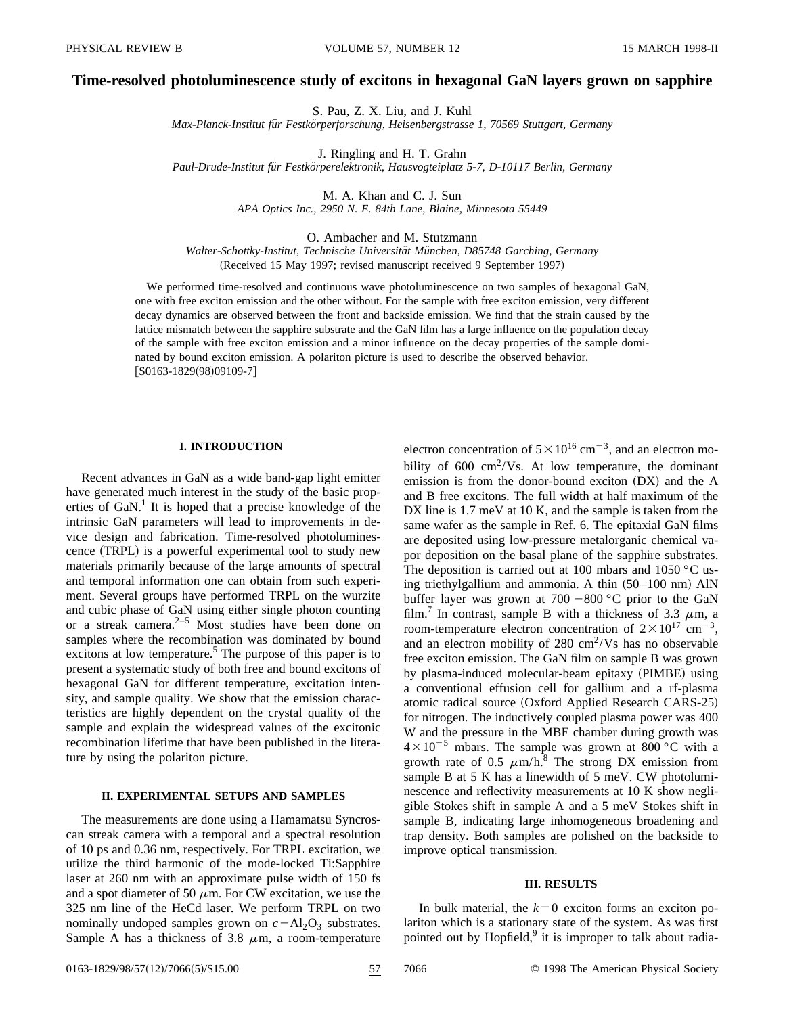# **Time-resolved photoluminescence study of excitons in hexagonal GaN layers grown on sapphire**

S. Pau, Z. X. Liu, and J. Kuhl

*Max-Planck-Institut fu¨r Festko¨rperforschung, Heisenbergstrasse 1, 70569 Stuttgart, Germany*

J. Ringling and H. T. Grahn

*Paul-Drude-Institut fu¨r Festko¨rperelektronik, Hausvogteiplatz 5-7, D-10117 Berlin, Germany*

M. A. Khan and C. J. Sun *APA Optics Inc., 2950 N. E. 84th Lane, Blaine, Minnesota 55449*

O. Ambacher and M. Stutzmann Walter-Schottky-Institut, Technische Universität München, D85748 Garching, Germany (Received 15 May 1997; revised manuscript received 9 September 1997)

We performed time-resolved and continuous wave photoluminescence on two samples of hexagonal GaN, one with free exciton emission and the other without. For the sample with free exciton emission, very different decay dynamics are observed between the front and backside emission. We find that the strain caused by the lattice mismatch between the sapphire substrate and the GaN film has a large influence on the population decay of the sample with free exciton emission and a minor influence on the decay properties of the sample dominated by bound exciton emission. A polariton picture is used to describe the observed behavior.  $[$ S0163-1829(98)09109-7]

#### **I. INTRODUCTION**

Recent advances in GaN as a wide band-gap light emitter have generated much interest in the study of the basic properties of GaN.<sup>1</sup> It is hoped that a precise knowledge of the intrinsic GaN parameters will lead to improvements in device design and fabrication. Time-resolved photoluminescence (TRPL) is a powerful experimental tool to study new materials primarily because of the large amounts of spectral and temporal information one can obtain from such experiment. Several groups have performed TRPL on the wurzite and cubic phase of GaN using either single photon counting or a streak camera.2–5 Most studies have been done on samples where the recombination was dominated by bound excitons at low temperature.<sup>5</sup> The purpose of this paper is to present a systematic study of both free and bound excitons of hexagonal GaN for different temperature, excitation intensity, and sample quality. We show that the emission characteristics are highly dependent on the crystal quality of the sample and explain the widespread values of the excitonic recombination lifetime that have been published in the literature by using the polariton picture.

## **II. EXPERIMENTAL SETUPS AND SAMPLES**

The measurements are done using a Hamamatsu Syncroscan streak camera with a temporal and a spectral resolution of 10 ps and 0.36 nm, respectively. For TRPL excitation, we utilize the third harmonic of the mode-locked Ti:Sapphire laser at 260 nm with an approximate pulse width of 150 fs and a spot diameter of 50  $\mu$ m. For CW excitation, we use the 325 nm line of the HeCd laser. We perform TRPL on two nominally undoped samples grown on  $c - Al_2O_3$  substrates. Sample A has a thickness of 3.8  $\mu$ m, a room-temperature electron concentration of  $5 \times 10^{16}$  cm<sup>-3</sup>, and an electron mobility of  $600 \text{ cm}^2/\text{Vs}$ . At low temperature, the dominant emission is from the donor-bound exciton  $(DX)$  and the A and B free excitons. The full width at half maximum of the DX line is 1.7 meV at 10 K, and the sample is taken from the same wafer as the sample in Ref. 6. The epitaxial GaN films are deposited using low-pressure metalorganic chemical vapor deposition on the basal plane of the sapphire substrates. The deposition is carried out at 100 mbars and 1050  $\degree$ C using triethylgallium and ammonia. A thin  $(50-100 \text{ nm})$  AlN buffer layer was grown at  $700 - 800$  °C prior to the GaN film.<sup>7</sup> In contrast, sample B with a thickness of 3.3  $\mu$ m, a room-temperature electron concentration of  $2 \times 10^{17}$  cm<sup>-3</sup>, and an electron mobility of 280  $\text{cm}^2/\text{Vs}$  has no observable free exciton emission. The GaN film on sample B was grown by plasma-induced molecular-beam epitaxy (PIMBE) using a conventional effusion cell for gallium and a rf-plasma atomic radical source (Oxford Applied Research CARS-25) for nitrogen. The inductively coupled plasma power was 400 W and the pressure in the MBE chamber during growth was  $4\times10^{-5}$  mbars. The sample was grown at 800 °C with a growth rate of 0.5  $\mu$ m/h.<sup>8</sup> The strong DX emission from sample B at 5 K has a linewidth of 5 meV. CW photoluminescence and reflectivity measurements at 10 K show negligible Stokes shift in sample A and a 5 meV Stokes shift in sample B, indicating large inhomogeneous broadening and trap density. Both samples are polished on the backside to improve optical transmission.

#### **III. RESULTS**

In bulk material, the  $k=0$  exciton forms an exciton polariton which is a stationary state of the system. As was first pointed out by Hopfield,<sup>9</sup> it is improper to talk about radia-

0163-1829/98/57(12)/7066(5)/\$15.00 57 7066 © 1998 The American Physical Society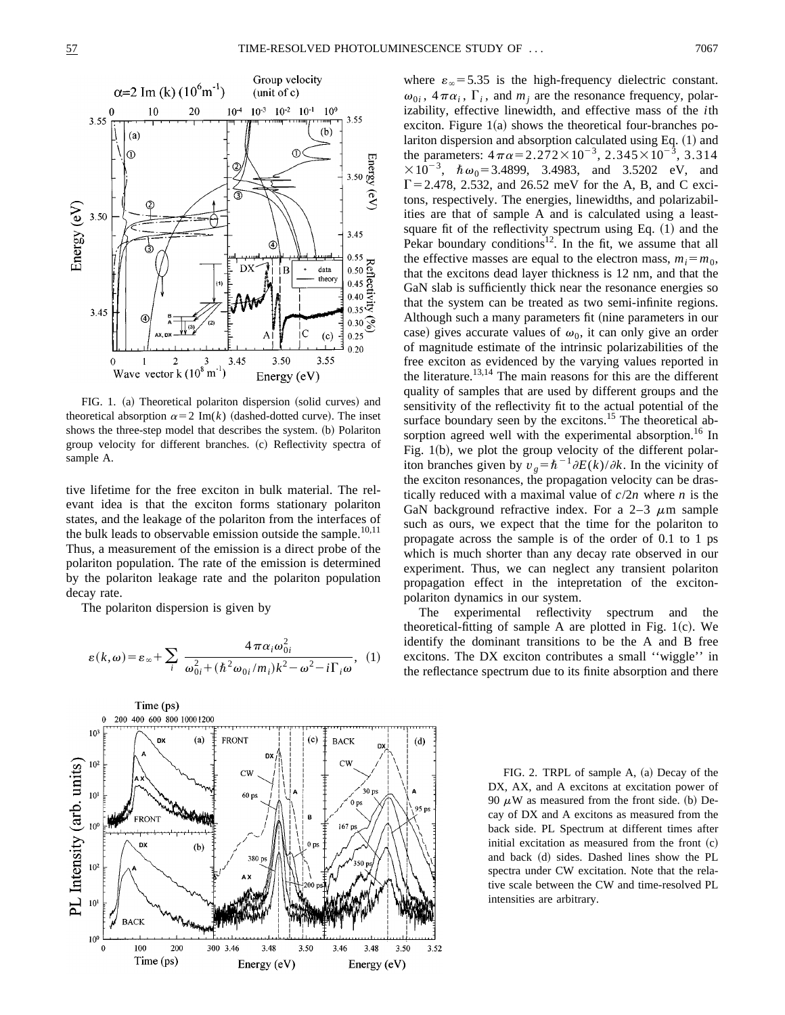

FIG. 1. (a) Theoretical polariton dispersion (solid curves) and theoretical absorption  $\alpha=2$  Im(*k*) (dashed-dotted curve). The inset shows the three-step model that describes the system. (b) Polariton group velocity for different branches. (c) Reflectivity spectra of sample A.

tive lifetime for the free exciton in bulk material. The relevant idea is that the exciton forms stationary polariton states, and the leakage of the polariton from the interfaces of the bulk leads to observable emission outside the sample. $10,11$ Thus, a measurement of the emission is a direct probe of the polariton population. The rate of the emission is determined by the polariton leakage rate and the polariton population decay rate.

The polariton dispersion is given by

$$
\varepsilon(k,\omega) = \varepsilon_{\infty} + \sum_{i} \frac{4\,\pi\alpha_{i}\omega_{0i}^{2}}{\omega_{0i}^{2} + (\hbar^{2}\omega_{0i}/m_{i})k^{2} - \omega^{2} - i\Gamma_{i}\omega}, \tag{1}
$$



where  $\varepsilon_{\infty}$  = 5.35 is the high-frequency dielectric constant.  $\omega_{0i}$ ,  $4\pi\alpha_i$ ,  $\Gamma_i$ , and  $m_i$  are the resonance frequency, polarizability, effective linewidth, and effective mass of the *i*th exciton. Figure  $1(a)$  shows the theoretical four-branches polariton dispersion and absorption calculated using Eq.  $(1)$  and the parameters:  $4\pi\alpha = 2.272 \times 10^{-3}$ ,  $2.345 \times 10^{-3}$ ,  $3.314$  $\times 10^{-3}$ ,  $\hbar \omega_0 = 3.4899$ , 3.4983, and 3.5202 eV, and  $\Gamma$  = 2.478, 2.532, and 26.52 meV for the A, B, and C excitons, respectively. The energies, linewidths, and polarizabilities are that of sample A and is calculated using a leastsquare fit of the reflectivity spectrum using Eq.  $(1)$  and the Pekar boundary conditions<sup>12</sup>. In the fit, we assume that all the effective masses are equal to the electron mass,  $m_i = m_0$ , that the excitons dead layer thickness is 12 nm, and that the GaN slab is sufficiently thick near the resonance energies so that the system can be treated as two semi-infinite regions. Although such a many parameters fit (nine parameters in our case) gives accurate values of  $\omega_0$ , it can only give an order of magnitude estimate of the intrinsic polarizabilities of the free exciton as evidenced by the varying values reported in the literature.<sup>13,14</sup> The main reasons for this are the different quality of samples that are used by different groups and the sensitivity of the reflectivity fit to the actual potential of the surface boundary seen by the excitons.<sup>15</sup> The theoretical absorption agreed well with the experimental absorption.<sup>16</sup> In Fig.  $1(b)$ , we plot the group velocity of the different polariton branches given by  $v_g = \hbar^{-1} \partial E(k)/\partial k$ . In the vicinity of the exciton resonances, the propagation velocity can be drastically reduced with a maximal value of  $c/2n$  where *n* is the GaN background refractive index. For a  $2-3 \mu m$  sample such as ours, we expect that the time for the polariton to propagate across the sample is of the order of 0.1 to 1 ps which is much shorter than any decay rate observed in our experiment. Thus, we can neglect any transient polariton propagation effect in the intepretation of the excitonpolariton dynamics in our system.

The experimental reflectivity spectrum and the theoretical-fitting of sample A are plotted in Fig.  $1(c)$ . We identify the dominant transitions to be the A and B free excitons. The DX exciton contributes a small ''wiggle'' in the reflectance spectrum due to its finite absorption and there

> FIG. 2. TRPL of sample A, (a) Decay of the DX, AX, and A excitons at excitation power of 90  $\mu$ W as measured from the front side. (b) Decay of DX and A excitons as measured from the back side. PL Spectrum at different times after initial excitation as measured from the front  $(c)$ and back (d) sides. Dashed lines show the PL spectra under CW excitation. Note that the relative scale between the CW and time-resolved PL intensities are arbitrary.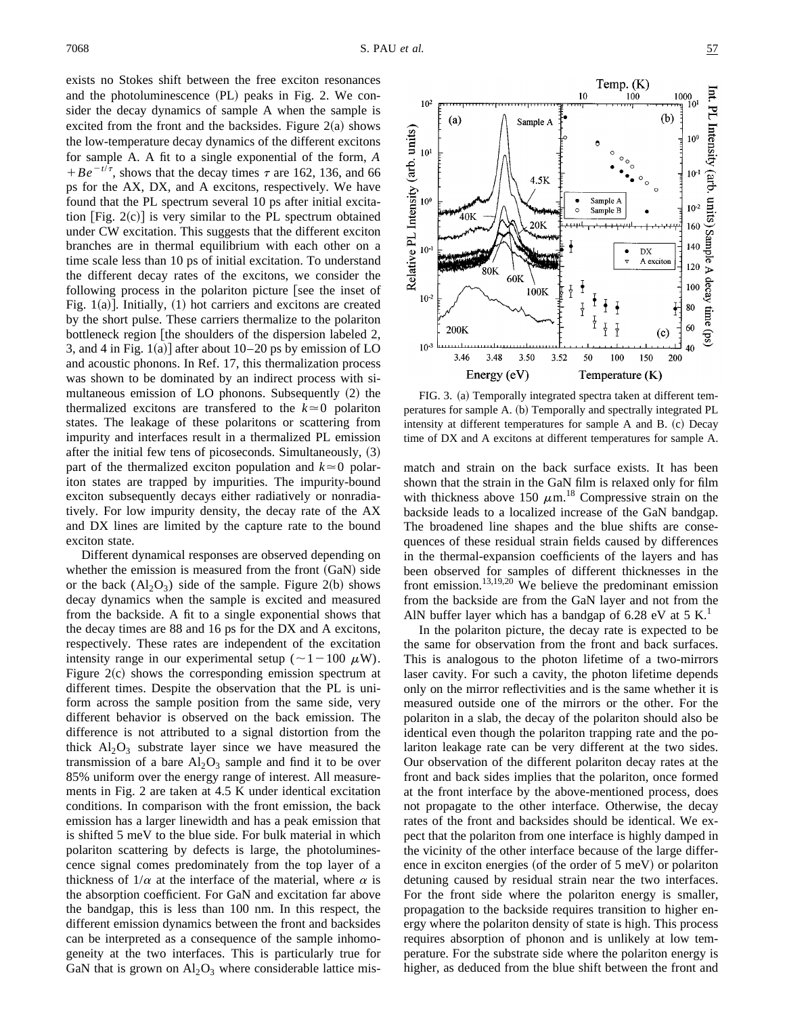exists no Stokes shift between the free exciton resonances and the photoluminescence  $(PL)$  peaks in Fig. 2. We consider the decay dynamics of sample A when the sample is excited from the front and the backsides. Figure  $2(a)$  shows the low-temperature decay dynamics of the different excitons for sample A. A fit to a single exponential of the form, *A*  $+Be^{-t/\tau}$ , shows that the decay times  $\tau$  are 162, 136, and 66 ps for the AX, DX, and A excitons, respectively. We have found that the PL spectrum several 10 ps after initial excitation  $[Fig. 2(c)]$  is very similar to the PL spectrum obtained under CW excitation. This suggests that the different exciton branches are in thermal equilibrium with each other on a time scale less than 10 ps of initial excitation. To understand the different decay rates of the excitons, we consider the following process in the polariton picture [see the inset of Fig. 1(a)]. Initially,  $(1)$  hot carriers and excitons are created by the short pulse. These carriers thermalize to the polariton bottleneck region  $\lceil$  the shoulders of the dispersion labeled 2, 3, and 4 in Fig. 1(a)] after about  $10–20$  ps by emission of LO and acoustic phonons. In Ref. 17, this thermalization process was shown to be dominated by an indirect process with simultaneous emission of LO phonons. Subsequently  $(2)$  the thermalized excitons are transferred to the  $k \approx 0$  polariton states. The leakage of these polaritons or scattering from impurity and interfaces result in a thermalized PL emission after the initial few tens of picoseconds. Simultaneously,  $(3)$ part of the thermalized exciton population and  $k \approx 0$  polariton states are trapped by impurities. The impurity-bound exciton subsequently decays either radiatively or nonradiatively. For low impurity density, the decay rate of the AX and DX lines are limited by the capture rate to the bound exciton state.

Different dynamical responses are observed depending on whether the emission is measured from the front  $(GaN)$  side or the back  $(A1_2O_3)$  side of the sample. Figure 2(b) shows decay dynamics when the sample is excited and measured from the backside. A fit to a single exponential shows that the decay times are 88 and 16 ps for the DX and A excitons, respectively. These rates are independent of the excitation intensity range in our experimental setup ( $\sim$ 1–100  $\mu$ W). Figure  $2(c)$  shows the corresponding emission spectrum at different times. Despite the observation that the PL is uniform across the sample position from the same side, very different behavior is observed on the back emission. The difference is not attributed to a signal distortion from the thick  $Al_2O_3$  substrate layer since we have measured the transmission of a bare  $Al_2O_3$  sample and find it to be over 85% uniform over the energy range of interest. All measurements in Fig. 2 are taken at 4.5 K under identical excitation conditions. In comparison with the front emission, the back emission has a larger linewidth and has a peak emission that is shifted 5 meV to the blue side. For bulk material in which polariton scattering by defects is large, the photoluminescence signal comes predominately from the top layer of a thickness of  $1/\alpha$  at the interface of the material, where  $\alpha$  is the absorption coefficient. For GaN and excitation far above the bandgap, this is less than 100 nm. In this respect, the different emission dynamics between the front and backsides can be interpreted as a consequence of the sample inhomogeneity at the two interfaces. This is particularly true for GaN that is grown on  $\text{Al}_2\text{O}_3$  where considerable lattice mis-



FIG. 3. (a) Temporally integrated spectra taken at different temperatures for sample A. (b) Temporally and spectrally integrated PL intensity at different temperatures for sample  $A$  and  $B$ .  $(c)$  Decay time of DX and A excitons at different temperatures for sample A.

match and strain on the back surface exists. It has been shown that the strain in the GaN film is relaxed only for film with thickness above 150  $\mu$ m.<sup>18</sup> Compressive strain on the backside leads to a localized increase of the GaN bandgap. The broadened line shapes and the blue shifts are consequences of these residual strain fields caused by differences in the thermal-expansion coefficients of the layers and has been observed for samples of different thicknesses in the front emission.<sup>13,19,20</sup> We believe the predominant emission from the backside are from the GaN layer and not from the AlN buffer layer which has a bandgap of 6.28 eV at 5  $K<sup>1</sup>$ .

In the polariton picture, the decay rate is expected to be the same for observation from the front and back surfaces. This is analogous to the photon lifetime of a two-mirrors laser cavity. For such a cavity, the photon lifetime depends only on the mirror reflectivities and is the same whether it is measured outside one of the mirrors or the other. For the polariton in a slab, the decay of the polariton should also be identical even though the polariton trapping rate and the polariton leakage rate can be very different at the two sides. Our observation of the different polariton decay rates at the front and back sides implies that the polariton, once formed at the front interface by the above-mentioned process, does not propagate to the other interface. Otherwise, the decay rates of the front and backsides should be identical. We expect that the polariton from one interface is highly damped in the vicinity of the other interface because of the large difference in exciton energies (of the order of  $5 \text{ meV}$ ) or polariton detuning caused by residual strain near the two interfaces. For the front side where the polariton energy is smaller, propagation to the backside requires transition to higher energy where the polariton density of state is high. This process requires absorption of phonon and is unlikely at low temperature. For the substrate side where the polariton energy is higher, as deduced from the blue shift between the front and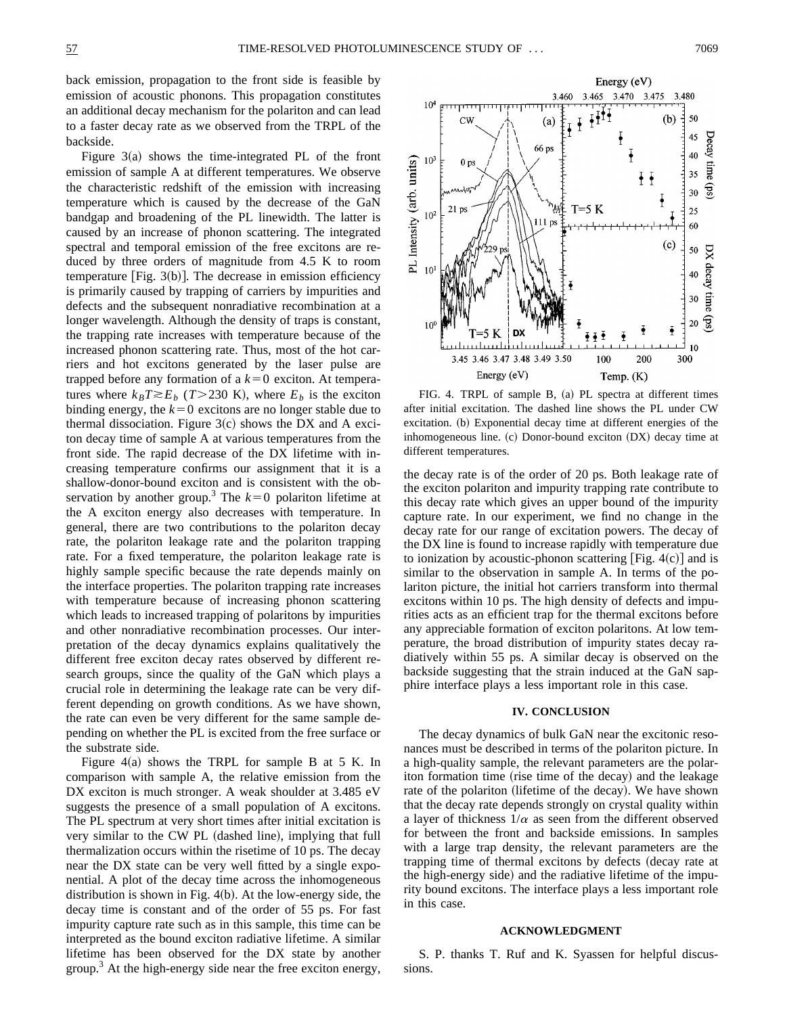back emission, propagation to the front side is feasible by emission of acoustic phonons. This propagation constitutes an additional decay mechanism for the polariton and can lead to a faster decay rate as we observed from the TRPL of the backside.

Figure  $3(a)$  shows the time-integrated PL of the front emission of sample A at different temperatures. We observe the characteristic redshift of the emission with increasing temperature which is caused by the decrease of the GaN bandgap and broadening of the PL linewidth. The latter is caused by an increase of phonon scattering. The integrated spectral and temporal emission of the free excitons are reduced by three orders of magnitude from 4.5 K to room temperature  $[Fig. 3(b)].$  The decrease in emission efficiency is primarily caused by trapping of carriers by impurities and defects and the subsequent nonradiative recombination at a longer wavelength. Although the density of traps is constant, the trapping rate increases with temperature because of the increased phonon scattering rate. Thus, most of the hot carriers and hot excitons generated by the laser pulse are trapped before any formation of a  $k=0$  exciton. At temperatures where  $k_B T \gtrsim E_b$  (*T*>230 K), where  $E_b$  is the exciton binding energy, the  $k=0$  excitons are no longer stable due to thermal dissociation. Figure  $3(c)$  shows the DX and A exciton decay time of sample A at various temperatures from the front side. The rapid decrease of the DX lifetime with increasing temperature confirms our assignment that it is a shallow-donor-bound exciton and is consistent with the observation by another group.<sup>3</sup> The  $k=0$  polariton lifetime at the A exciton energy also decreases with temperature. In general, there are two contributions to the polariton decay rate, the polariton leakage rate and the polariton trapping rate. For a fixed temperature, the polariton leakage rate is highly sample specific because the rate depends mainly on the interface properties. The polariton trapping rate increases with temperature because of increasing phonon scattering which leads to increased trapping of polaritons by impurities and other nonradiative recombination processes. Our interpretation of the decay dynamics explains qualitatively the different free exciton decay rates observed by different research groups, since the quality of the GaN which plays a crucial role in determining the leakage rate can be very different depending on growth conditions. As we have shown, the rate can even be very different for the same sample depending on whether the PL is excited from the free surface or the substrate side.

Figure 4(a) shows the TRPL for sample B at 5 K. In comparison with sample A, the relative emission from the DX exciton is much stronger. A weak shoulder at 3.485 eV suggests the presence of a small population of A excitons. The PL spectrum at very short times after initial excitation is very similar to the CW PL (dashed line), implying that full thermalization occurs within the risetime of 10 ps. The decay near the DX state can be very well fitted by a single exponential. A plot of the decay time across the inhomogeneous distribution is shown in Fig.  $4(b)$ . At the low-energy side, the decay time is constant and of the order of 55 ps. For fast impurity capture rate such as in this sample, this time can be interpreted as the bound exciton radiative lifetime. A similar lifetime has been observed for the DX state by another group. $3$  At the high-energy side near the free exciton energy,



FIG. 4. TRPL of sample B, (a) PL spectra at different times after initial excitation. The dashed line shows the PL under CW excitation. (b) Exponential decay time at different energies of the inhomogeneous line. (c) Donor-bound exciton (DX) decay time at different temperatures.

the decay rate is of the order of 20 ps. Both leakage rate of the exciton polariton and impurity trapping rate contribute to this decay rate which gives an upper bound of the impurity capture rate. In our experiment, we find no change in the decay rate for our range of excitation powers. The decay of the DX line is found to increase rapidly with temperature due to ionization by acoustic-phonon scattering [Fig.  $4(c)$ ] and is similar to the observation in sample A. In terms of the polariton picture, the initial hot carriers transform into thermal excitons within 10 ps. The high density of defects and impurities acts as an efficient trap for the thermal excitons before any appreciable formation of exciton polaritons. At low temperature, the broad distribution of impurity states decay radiatively within 55 ps. A similar decay is observed on the backside suggesting that the strain induced at the GaN sapphire interface plays a less important role in this case.

### **IV. CONCLUSION**

The decay dynamics of bulk GaN near the excitonic resonances must be described in terms of the polariton picture. In a high-quality sample, the relevant parameters are the polariton formation time (rise time of the decay) and the leakage rate of the polariton (lifetime of the decay). We have shown that the decay rate depends strongly on crystal quality within a layer of thickness  $1/\alpha$  as seen from the different observed for between the front and backside emissions. In samples with a large trap density, the relevant parameters are the trapping time of thermal excitons by defects (decay rate at the high-energy side) and the radiative lifetime of the impurity bound excitons. The interface plays a less important role in this case.

### **ACKNOWLEDGMENT**

S. P. thanks T. Ruf and K. Syassen for helpful discussions.